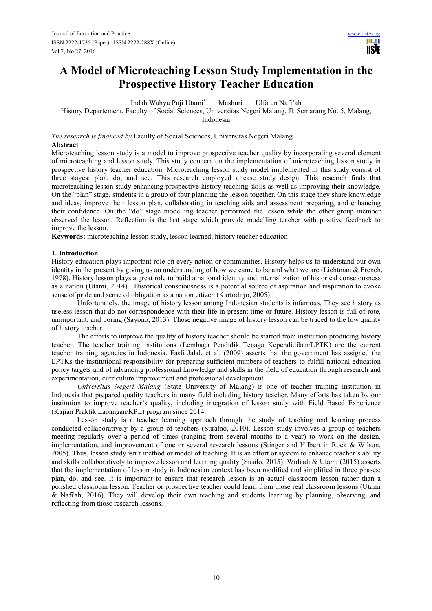# **A Model of Microteaching Lesson Study Implementation in the Prospective History Teacher Education**

Indah Wahyu Puji Utami\* Mashuri Ulfatun Nafi'ah

History Departement, Faculty of Social Sciences, Universitas Negeri Malang, Jl. Semarang No. 5, Malang,

Indonesia

*The research is financed by* Faculty of Social Sciences, Universitas Negeri Malang **Abstract** 

Microteaching lesson study is a model to improve prospective teacher quality by incorporating several element of microteaching and lesson study. This study concern on the implementation of microteaching lesson study in prospective history teacher education. Microteaching lesson study model implemented in this study consist of three stages: plan, do, and see. This research employed a case study design. This research finds that microteaching lesson study enhancing prospective history teaching skills as well as improving their knowledge. On the "plan" stage, students in a group of four planning the lesson together. On this stage they share knowledge and ideas, improve their lesson plan, collaborating in teaching aids and assessment preparing, and enhancing their confidence. On the "do" stage modelling teacher performed the lesson while the other group member observed the lesson. Reflection is the last stage which provide modelling teacher with positive feedback to improve the lesson.

**Keywords:** microteaching lesson study, lesson learned, history teacher education

## **1. Introduction**

History education plays important role on every nation or communities. History helps us to understand our own identity in the present by giving us an understanding of how we came to be and what we are (Lichtman & French, 1978). History lesson plays a great role to build a national identity and internalization of historical consciousness as a nation (Utami, 2014). Historical consciousness is a potential source of aspiration and inspiration to evoke sense of pride and sense of obligation as a nation citizen (Kartodirjo, 2005).

Unfortunately, the image of history lesson among Indonesian students is infamous. They see history as useless lesson that do not correspondence with their life in present time or future. History lesson is full of rote, unimportant, and boring (Sayono, 2013). Those negative image of history lesson can be traced to the low quality of history teacher.

The efforts to improve the quality of history teacher should be started from institution producing history teacher. The teacher training institutions (Lembaga Pendidik Tenaga Kependidikan/LPTK) are the current teacher training agencies in Indonesia. Fasli Jalal, et al. (2009) asserts that the government has assigned the LPTKs the institutional responsibility for preparing sufficient numbers of teachers to fulfill national education policy targets and of advancing professional knowledge and skills in the field of education through research and experimentation, curriculum improvement and professional development.

*Universitas Negeri Malang* (State University of Malang) is one of teacher training institution in Indonesia that prepared quality teachers in many field including history teacher. Many efforts has taken by our institution to improve teacher's quality, including integration of lesson study with Field Based Experience (Kajian Praktik Lapangan/KPL) program since 2014.

Lesson study is a teacher learning approach through the study of teaching and learning process conducted collaboratively by a group of teachers (Suratno, 2010). Lesson study involves a group of teachers meeting regularly over a period of times (ranging from several months to a year) to work on the design, implementation, and improvement of one or several research lessons (Stinger and Hilbert in Rock & Wilson, 2005). Thus, lesson study isn't method or model of teaching. It is an effort or system to enhance teacher's ability and skills collaboratively to improve lesson and learning quality (Susilo, 2015). Widiadi & Utami (2015) asserts that the implementation of lesson study in Indonesian context has been modified and simplified in three phases: plan, do, and see. It is important to ensure that research lesson is an actual classroom lesson rather than a polished classroom lesson. Teacher or prospective teacher could learn from those real classroom lessons (Utami & Nafi'ah, 2016). They will develop their own teaching and students learning by planning, observing, and reflecting from those research lessons.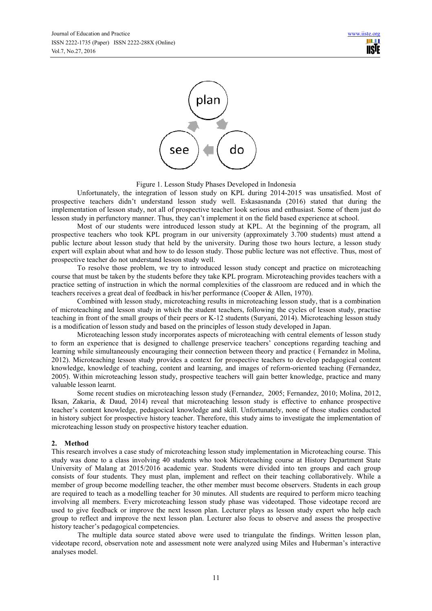

Figure 1. Lesson Study Phases Developed in Indonesia

Unfortunately, the integration of lesson study on KPL during 2014-2015 was unsatisfied. Most of prospective teachers didn't understand lesson study well. Eskasasnanda (2016) stated that during the implementation of lesson study, not all of prospective teacher look serious and enthusiast. Some of them just do lesson study in perfunctory manner. Thus, they can't implement it on the field based experience at school.

Most of our students were introduced lesson study at KPL. At the beginning of the program, all prospective teachers who took KPL program in our university (approximately 3.700 students) must attend a public lecture about lesson study that held by the university. During those two hours lecture, a lesson study expert will explain about what and how to do lesson study. Those public lecture was not effective. Thus, most of prospective teacher do not understand lesson study well.

To resolve those problem, we try to introduced lesson study concept and practice on microteaching course that must be taken by the students before they take KPL program. Microteaching provides teachers with a practice setting of instruction in which the normal complexities of the classroom are reduced and in which the teachers receives a great deal of feedback in his/her performance (Cooper & Allen, 1970).

Combined with lesson study, microteaching results in microteaching lesson study, that is a combination of microteaching and lesson study in which the student teachers, following the cycles of lesson study, practise teaching in front of the small groups of their peers or K-12 students (Suryani, 2014). Microteaching lesson study is a modification of lesson study and based on the principles of lesson study developed in Japan.

Microteaching lesson study incorporates aspects of microteaching with central elements of lesson study to form an experience that is designed to challenge preservice teachers' conceptions regarding teaching and learning while simultaneously encouraging their connection between theory and practice ( Fernandez in Molina, 2012). Microteaching lesson study provides a context for prospective teachers to develop pedagogical content knowledge, knowledge of teaching, content and learning, and images of reform-oriented teaching (Fernandez, 2005). Within microteaching lesson study, prospective teachers will gain better knowledge, practice and many valuable lesson learnt.

Some recent studies on microteaching lesson study (Fernandez, 2005; Fernandez, 2010; Molina, 2012, Iksan, Zakaria, & Daud, 2014) reveal that microteaching lesson study is effective to enhance prospective teacher's content knowledge, pedagocical knowledge and skill. Unfortunately, none of those studies conducted in history subject for prospective history teacher. Therefore, this study aims to investigate the implementation of microteaching lesson study on prospective history teacher eduation.

## **2. Method**

This research involves a case study of microteaching lesson study implementation in Microteaching course. This study was done to a class involving 40 students who took Microteaching course at History Department State University of Malang at 2015/2016 academic year. Students were divided into ten groups and each group consists of four students. They must plan, implement and reflect on their teaching collaboratively. While a member of group become modelling teacher, the other member must become observers. Students in each group are required to teach as a modelling teacher for 30 minutes. All students are required to perform micro teaching involving all members. Every microteaching lesson study phase was videotaped. Those videotape record are used to give feedback or improve the next lesson plan. Lecturer plays as lesson study expert who help each group to reflect and improve the next lesson plan. Lecturer also focus to observe and assess the prospective history teacher's pedagogical competencies.

The multiple data source stated above were used to triangulate the findings. Written lesson plan, videotape record, observation note and assessment note were analyzed using Miles and Huberman's interactive analyses model.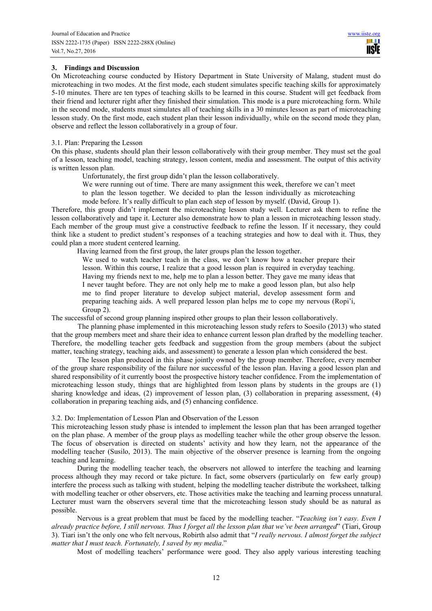## **3. Findings and Discussion**

On Microteaching course conducted by History Department in State University of Malang, student must do microteaching in two modes. At the first mode, each student simulates specific teaching skills for approximately 5-10 minutes. There are ten types of teaching skills to be learned in this course. Student will get feedback from their friend and lecturer right after they finished their simulation. This mode is a pure microteaching form. While in the second mode, students must simulates all of teaching skills in a 30 minutes lesson as part of microteaching lesson study. On the first mode, each student plan their lesson individually, while on the second mode they plan, observe and reflect the lesson collaboratively in a group of four.

### 3.1. Plan: Preparing the Lesson

On this phase, students should plan their lesson collaboratively with their group member. They must set the goal of a lesson, teaching model, teaching strategy, lesson content, media and assessment. The output of this activity is written lesson plan.

Unfortunately, the first group didn't plan the lesson collaboratively.

We were running out of time. There are many assignment this week, therefore we can't meet to plan the lesson together. We decided to plan the lesson individually as microteaching mode before. It's really difficult to plan each step of lesson by myself. (David, Group 1).

Therefore, this group didn't implement the microteaching lesson study well. Lecturer ask them to refine the lesson collaboratively and tape it. Lecturer also demonstrate how to plan a lesson in microteaching lesson study. Each member of the group must give a constructive feedback to refine the lesson. If it necessary, they could think like a student to predict student's responses of a teaching strategies and how to deal with it. Thus, they could plan a more student centered learning.

Having learned from the first group, the later groups plan the lesson together.

We used to watch teacher teach in the class, we don't know how a teacher prepare their lesson. Within this course, I realize that a good lesson plan is required in everyday teaching. Having my friends next to me, help me to plan a lesson better. They gave me many ideas that I never taught before. They are not only help me to make a good lesson plan, but also help me to find proper literature to develop subject material, develop assessment form and preparing teaching aids. A well prepared lesson plan helps me to cope my nervous (Ropi'i, Group 2).

The successful of second group planning inspired other groups to plan their lesson collaboratively.

The planning phase implemented in this microteaching lesson study refers to Soesilo (2013) who stated that the group members meet and share their idea to enhance current lesson plan drafted by the modelling teacher. Therefore, the modelling teacher gets feedback and suggestion from the group members (about the subject matter, teaching strategy, teaching aids, and assessment) to generate a lesson plan which considered the best.

The lesson plan produced in this phase jointly owned by the group member. Therefore, every member of the group share responsibility of the failure nor successful of the lesson plan. Having a good lesson plan and shared responsibility of it currently boost the prospective history teacher confidence. From the implementation of microteaching lesson study, things that are highlighted from lesson plans by students in the groups are (1) sharing knowledge and ideas, (2) improvement of lesson plan, (3) collaboration in preparing assessment, (4) collaboration in preparing teaching aids, and (5) enhancing confidence.

## 3.2. Do: Implementation of Lesson Plan and Observation of the Lesson

This microteaching lesson study phase is intended to implement the lesson plan that has been arranged together on the plan phase. A member of the group plays as modelling teacher while the other group observe the lesson. The focus of observation is directed on students' activity and how they learn, not the appearance of the modelling teacher (Susilo, 2013). The main objective of the observer presence is learning from the ongoing teaching and learning.

During the modelling teacher teach, the observers not allowed to interfere the teaching and learning process although they may record or take picture. In fact, some observers (particularly on few early group) interfere the process such as talking with student, helping the modelling teacher distribute the worksheet, talking with modelling teacher or other observers, etc. Those activities make the teaching and learning process unnatural. Lecturer must warn the observers several time that the microteaching lesson study should be as natural as possible.

Nervous is a great problem that must be faced by the modelling teacher. "*Teaching isn't easy. Even I already practice before, I still nervous. Thus I forget all the lesson plan that we've been arranged*" (Tiari, Group 3). Tiari isn't the only one who felt nervous, Robirth also admit that "*I really nervous. I almost forget the subject matter that I must teach. Fortunately, I saved by my media*."

Most of modelling teachers' performance were good. They also apply various interesting teaching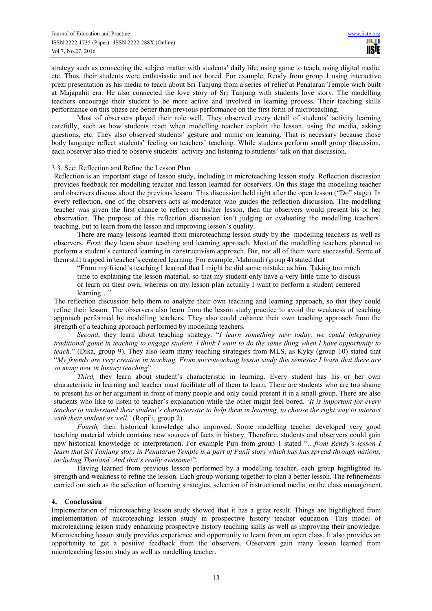strategy such as connecting the subject matter with students' daily life, using game to teach, using digital media, etc. Thus, their students were enthusiastic and not bored. For example, Rendy from group 1 using interactive prezi presentation as his media to teach about Sri Tanjung from a series of relief at Penataran Temple wich built at Majapahit era. He also connected the love story of Sri Tanjung with students love story. The modelling teachers encourage their student to be more active and involved in learning process. Their teaching skills performance on this phase are better than previous performance on the first form of microteaching.

Most of observers played their role well. They observed every detail of students' activity learning carefully, such as how students react when modelling teacher explain the lesson, using the media, asking questions, etc. They also observed students' gesture and mimic on learning. That is necessary because those body language reflect students' feeling on teachers' teaching. While students perform small group discussion, each observer also tried to observe students' activity and listening to students' talk on that discussion.

### 3.3. See: Reflection and Refine the Lesson Plan

Reflection is an important stage of lesson study, including in microteaching lesson study. Reflection discussion provides feedback for modelling teacher and lesson learned for observers. On this stage the modelling teacher and observers discuss about the previous lesson. This discussion held right after the open lesson ("Do" stage). In every reflection, one of the observers acts as moderator who guides the reflection discussion. The modelling teacher was given the first chance to reflect on his/her lesson, then the observers would present his or her observation. The purpose of this reflection discussion isn't judging or evaluating the modelling teachers' teaching, but to learn from the lesson and improving lesson's quality.

There are many lessons learned from microteaching lesson study by the modelling teachers as well as observers. *First,* they learn about teaching and learning approach. Most of the modelling teachers planned to perform a student's centered learning in constructivism approach. But, not all of them were successful. Some of them still trapped in teacher's centered learning. For example, Mahmudi (group 4) stated that

"From my friend's teaching I learned that I might be did same mistake as him. Taking too much time to explaining the lesson material, so that my student only have a very little time to discuss or learn on their own, whereas on my lesson plan actually I want to perform a student centered learning...'

The reflection discussion help them to analyze their own teaching and learning approach, so that they could refine their lesson. The observers also learn from the lesson study practice to avoid the weakness of teaching approach performed by modelling teachers. They also could enhance their own teaching approach from the strength of a teaching approach performed by modelling teachers.

*Second*, they learn about teaching strategy. "*I learn something new today, we could integrating traditional game in teaching to engage student. I think I want to do the same thing when I have opportunity to teach.*" (Dika, group 9). They also learn many teaching strategies from MLS, as Kyky (group 10) stated that "*My friends are very creative in teaching. From microteaching lesson study this semester I learn that there are so many new in history teaching*".

*Third,* they learn about student's characteristic in learning. Every student has his or her own characteristic in learning and teacher must facilitate all of them to learn. There are students who are too shame to present his or her argument in front of many people and only could present it in a small group. There are also students who like to listen to teacher's explanation while the other might feel bored. '*It is important for every teacher to understand their student's characteristic to help them in learning, to choose the right way to interact with their student as well.*' (Ropi'i, group 2).

*Fourth*, their historical knowledge also improved. Some modelling teacher developed very good teaching material which contains new sources of facts in history. Therefore, students and observers could gain new historical knowledge or interpretation. For example Puji from group 1 stated "…*from Rendy's lesson I learn that Sri Tanjung story in Penataran Temple is a part of Panji story which has has spread through nations, including Thailand. And that's really awesome!*".

Having learned from previous lesson performed by a modelling teacher, each group highlighted its strength and weakness to refine the lesson. Each group working together to plan a better lesson. The refinements carried out such as the selection of learning strategies, selection of instructional media, or the class management.

## **4. Conclussion**

Implementation of microteaching lesson study showed that it has a great result. Things are hightlighted from implementation of microteaching lesson study in prospective history teacher education. This model of microteaching lesson study enhancing prospective history teaching skills as well as improving their knowledge. Microteaching lesson study provides experience and opportunity to learn from an open class. It also provides an opportunity to get a positive feedback from the observers. Observers gain many lesson learned from microteaching lesson study as well as modelling teacher.